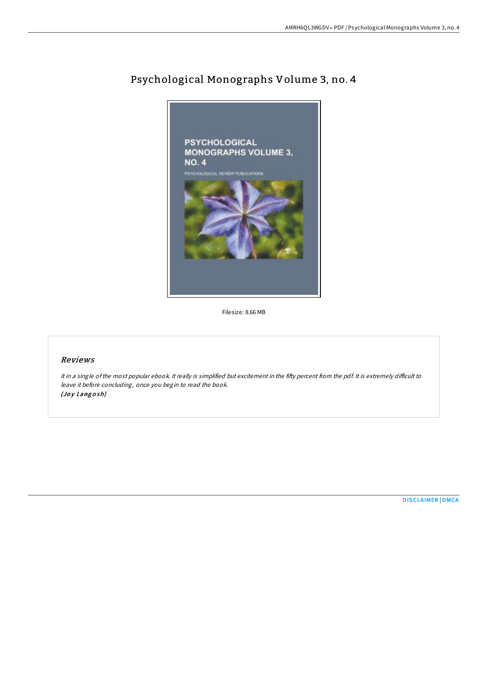

# Psychological Monographs Volume 3, no. 4

Filesize: 8.66 MB

# Reviews

It in a single of the most popular ebook. It really is simplified but excitement in the fifty percent from the pdf. It is extremely difficult to leave it before concluding, once you begin to read the book. (Joy Langosh)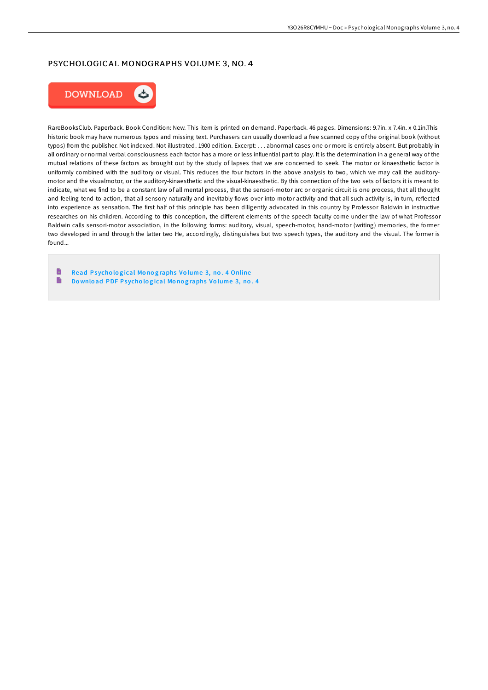## PSYCHOLOGICAL MONOGRAPHS VOLUME 3, NO. 4



RareBooksClub. Paperback. Book Condition: New. This item is printed on demand. Paperback. 46 pages. Dimensions: 9.7in. x 7.4in. x 0.1in.This historic book may have numerous typos and missing text. Purchasers can usually download a free scanned copy of the original book (without typos) from the publisher. Not indexed. Not illustrated. 1900 edition. Excerpt: . . . abnormal cases one or more is entirely absent. But probably in all ordinary or normal verbal consciousness each factor has a more or less influential part to play. It is the determination in a general way of the mutual relations of these factors as brought out by the study of lapses that we are concerned to seek. The motor or kinaesthetic factor is uniformly combined with the auditory or visual. This reduces the four factors in the above analysis to two, which we may call the auditorymotor and the visualmotor, or the auditory-kinaesthetic and the visual-kinaesthetic. By this connection of the two sets of factors it is meant to indicate, what we find to be a constant law of all mental process, that the sensori-motor arc or organic circuit is one process, that all thought and feeling tend to action, that all sensory naturally and inevitably flows over into motor activity and that all such activity is, in turn, reflected into experience as sensation. The first half of this principle has been diligently advocated in this country by Professor Baldwin in instructive researches on his children. According to this conception, the different elements of the speech faculty come under the law of what Professor Baldwin calls sensori-motor association, in the following forms: auditory, visual, speech-motor, hand-motor (writing) memories, the former two developed in and through the latter two He, accordingly, distinguishes but two speech types, the auditory and the visual. The former is found...

h Read Psychological Monographs Volume 3, no. 4 [Online](http://almighty24.tech/psychological-monographs-volume-3-no-4.html)  $\blacksquare$ Download PDF Psychological Monog[raphs](http://almighty24.tech/psychological-monographs-volume-3-no-4.html) Volume 3, no. 4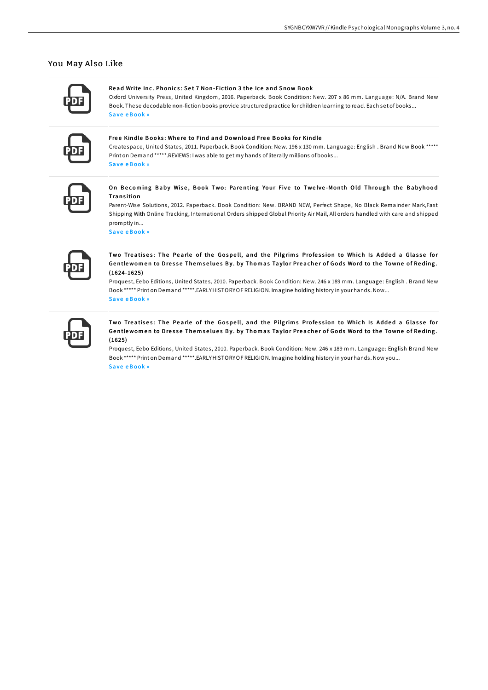## You May Also Like

#### Read Write Inc. Phonics: Set 7 Non-Fiction 3 the Ice and Snow Book

Oxford University Press, United Kingdom, 2016, Paperback, Book Condition: New, 207 x 86 mm, Language: N/A, Brand New Book. These decodable non-fiction books provide structured practice for children learning to read. Each set of books... Save eBook »

#### Free Kindle Books: Where to Find and Download Free Books for Kindle

Createspace, United States, 2011. Paperback. Book Condition: New. 196 x 130 mm. Language: English. Brand New Book \*\*\*\*\* Print on Demand \*\*\*\*\*.REVIEWS: I was able to get my hands of literally millions of books... Save eBook »

#### On Becoming Baby Wise, Book Two: Parenting Your Five to Twelve-Month Old Through the Babyhood Transition

Parent-Wise Solutions, 2012, Paperback, Book Condition; New, BRAND NEW, Perfect Shape, No Black Remainder Mark,Fast Shipping With Online Tracking, International Orders shipped Global Priority Air Mail, All orders handled with care and shipped promptly in...

Save eBook »

Two Treatises: The Pearle of the Gospell, and the Pilgrims Profession to Which Is Added a Glasse for Gentlewomen to Dresse Themselues By. by Thomas Taylor Preacher of Gods Word to the Towne of Reding.  $(1624 - 1625)$ 

Proquest, Eebo Editions, United States, 2010. Paperback. Book Condition: New. 246 x 189 mm. Language: English. Brand New Book \*\*\*\*\* Print on Demand \*\*\*\*\*.EARLYHISTORYOF RELIGION. Imagine holding history in your hands. Now... Save eBook »

Two Treatises: The Pearle of the Gospell, and the Pilgrims Profession to Which Is Added a Glasse for Gentlewomen to Dresse Themselues By. by Thomas Taylor Preacher of Gods Word to the Towne of Reding.  $(1625)$ 

Proquest, Eebo Editions, United States, 2010. Paperback. Book Condition: New. 246 x 189 mm. Language: English Brand New Book \*\*\*\*\* Print on Demand \*\*\*\*\*.EARLYHISTORYOF RELIGION. Imagine holding history in your hands. Now you... Save eBook »